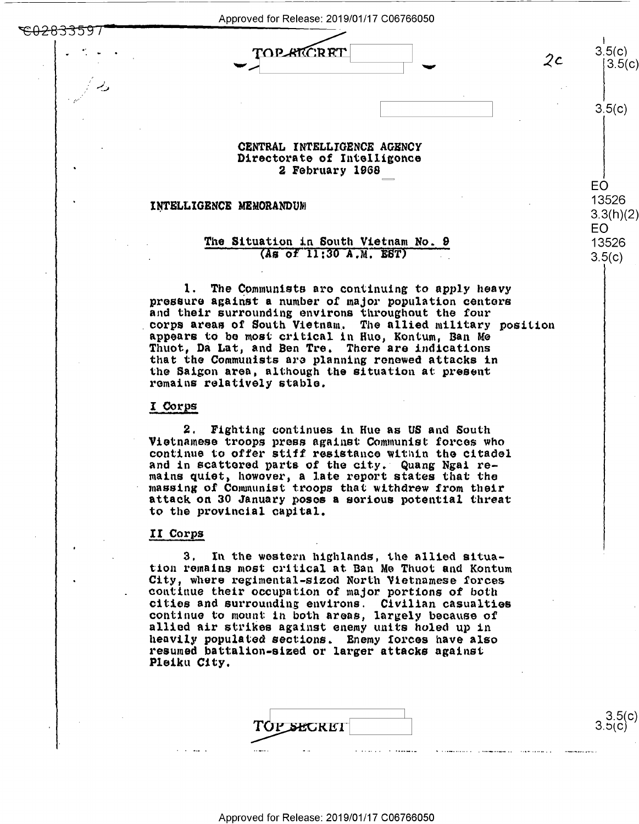Approved for Release: 2019/01/17 C06766050<br>  $\begin{picture}(100,100) \put(0,0){\line(1,0){15}} \put(15,0){\line(1,0){15}} \put(15,0){\line(1,0){15}} \put(15,0){\line(1,0){15}} \put(15,0){\line(1,0){15}} \put(15,0){\line(1,0){15}} \put(15,0){\line(1,0){15}} \put(15,0){\line(1,0){15}} \put(15,0){\line(1,0){15}} \put($  $~^{\circ}$ <del>02833597</del>

" <sup>v</sup> 2C

 $3.5(c)$ 

I

EO

EO 13526

3.5(c)<br>|3.5(c)

 $3.5(c)$ 

13526 EC) <sup>13526</sup>

3.3(<mark>h)(2)</mark><br>EO<br>13526

 $3.5(c)$ 

3.5(c)<br>3.5(c)

3.5(c)

#### **CENTRAL INTELLIGENCE AGBNCY**  CENTRAL INTELLIGENCE AGENCY **Directorate of** Intelligonce Directorate of Intelligence 2 February 1968 2 February 1968

## INTELLIGENCE MEMORANDUM

w

## The Situation in South Vietnam No. 9  $(As$  of  $11:30$  A.M. EST)

1. The Communists are continuing to apply heavy pressure against a number of major population centers and their surrounding environs throughout the four<br>corps areas of South Vietnam. The allied military position appears to be most critical in Hue, Kontum, Ban Me Thuot, Da Lat, and Ben Tre. There are indications that the Communists are planning renewed attacks in the Saigon area, although the situation at present the Saigon area, although the situation at present remains relatively stable. remains relatively stable. .cerps areas of South Vietnam. The allied military position

### I Corps

<del>°CO2833597°</del>

 $\sim$ 

2. Fighting continues in. Hue as US and South 2. Fighting continues in Hue as US and South Vietnamese troops press against Communist forces who continue to offer stiff resistance w1t11in the citadel continue to offer stiff resistance Within the citadel consider to crising boxing the condition of the city. Quang Ngai remains quiet, however, a late report states that the massing of Communist troops that withdrew from their massing or seasances are species who wished threat attack on 30 January poses a serious potential threat to the provincial capital. to the provincial capital.

# II Corps

3, In the western highlands, the allied situa-3. In the western highlands, the allied situation remains most critical at Ban Me Thuot and Kontum City, where regimental-slzocl Nortb Vietnamese forces City, where regimental-sized North Vietnamese forces continue their occupation of major portions of both cities and surrounding environs. Civilian casualties cities and surrounding environs. Civilian casualties<br>continue to mount in both areas, largely because of sonsinue to modify in Soon dreamy, imiger, socallise of<br>allied air strikes against enemy units holed up in heavily populated sections. Enemy forces have also resumed battalion-sized or larger attacks against **Pleikll City,**  Pleiku City. continue to mount in both areas, largely because of

| ₹,<br><b>SECRET</b><br>٠, |  |
|---------------------------|--|
|                           |  |

a . .. . . -

I.-~o—o-\_ :- . .o-u.—..... . . -.-—-.-...u.--—-

..-.... n u -

Approved for Release: 2019/01/17 C06766050 Approved for Release: 2019/01/17 006766050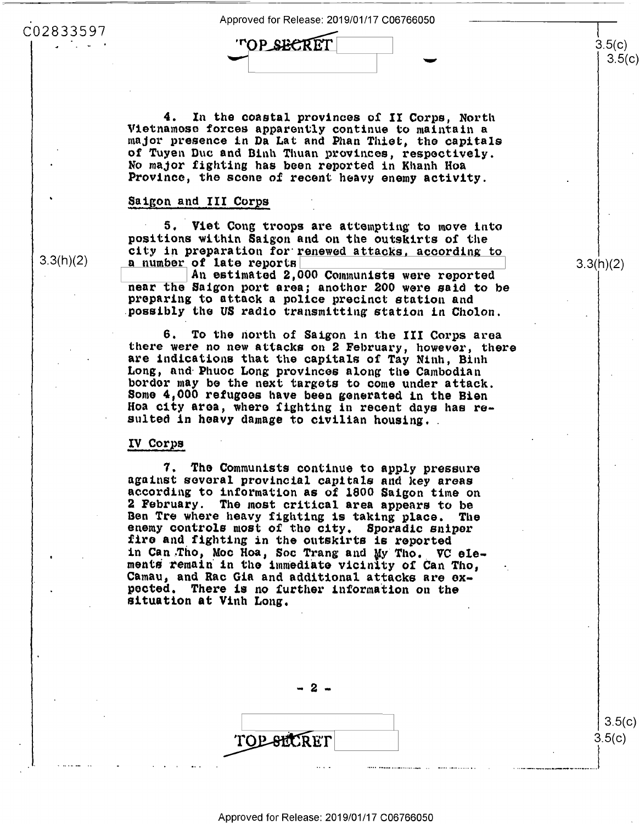Approved for Release: 2019/01/17 C06766050 Approved forRelease: 2019/01/17 006766050

proved for Release: 2019,<br>'**''OP\_S<del>EC</del>RET** TOP SECRET  $\mathsf{C}$   $\mathsf{C}$   $\mathsf{C}$   $\mathsf{C}$   $\mathsf{C}$   $\mathsf{C}$   $\mathsf{C}$   $\mathsf{C}$   $\mathsf{C}$   $\mathsf{C}$   $\mathsf{C}$   $\mathsf{C}$   $\mathsf{C}$   $\mathsf{C}$   $\mathsf{C}$   $\mathsf{C}$   $\mathsf{C}$   $\mathsf{C}$   $\mathsf{C}$   $\mathsf{C}$   $\mathsf{C}$   $\mathsf{C}$   $\mathsf{C}$   $\mathsf{C}$   $\mathsf{C$ 

4. In the coastal provinces of II Corps, North 4. In the coastal provinces of II Corps, North Vietnamose forces apparently continue to maintain a Vietnamese forces apparently continue to maintain <sup>a</sup> major presence in Da Lat and Phan Thiet, the capitals of Tuyen Duc and Binh Thuan provinces, respectively. No major fighting has been reported in Khanh Hoa Province, the scene of recent heavy enemy activity. Province, the scene of recent heavy enemy activity.

# Saigon and III Corps

5. Viet Cong troops are attempting to move into positions within Saigon and on the outskirts of the city in preparation for renewed attacks, according to 1.3(h)(2) a number of late reports **I and Electron Connunists were reported** An estimated 2,000 Communists were reported a number of late reports

near the Saigon port area; another 200 were said to be preparing to attack a police precinct station and preparing to attack <sup>a</sup> police precinct station and possibly the US radio transmitting station in Cholon.

> 6. To the north of Saigon in the III Corps area there were no new attacks on 2 February, however, there are indications that the capitals of Tay Ninh, Binh are indications that the capitals of Tay Ninh, Binh Long, nnd· Phuoc Long provinces along the Cambodian Long, and Phuoc Long provinces along the Cambodian bordor may be the next targets to come under attack. border may be the next targets to come under attack. Some 4,000 refugoos have been generated ln the Bien Some 4,000 refugees have been generated in the Bien Hoa city **aroa,** where fighting in recent days has re-Hea city area, where fighting in recent days has renod crey area, where righting in recent days has<br>sulted in heavy damage to civilian housing.

### IV Corps IV Corps

7. The Communists continue to apply pressure 7. The COmmunists continue to apply pressure against several provincial capitals and key areas according to information as of 1800 Saigon time on according to information as of 1800 Saigon time on 2 February. The most critical **area** appears to be <sup>2</sup> February. The most critical area appears to be Ben Tre where heavy fighting 1s taking place. The Ben Tre where heavy fighting is taking place. The enemy controls most of the city. Sporadic sniper fire and fighting in the outskirts is reported fire and fighting in the outskirts is reported in Can Tho, Moc Hoa, Soc Trang and My Tho. VC elements remain in the immediate vicinity of Can Tho, Camau, and Rac Gia and additional attacks are expocted. There is no further information on the situation at Vi1th Long. situation at Vinh Long.

- **2** -

TOP SECRET TOP SECRET 3.5(c)

3.5(c)

. ·····---------·-··•-··..l

 $3.5(c)$ 3.5(c)

3.3(h)(2) 3.3(h)(2)

3.3(h)(2)

'

C02833597 002833597

4'-"'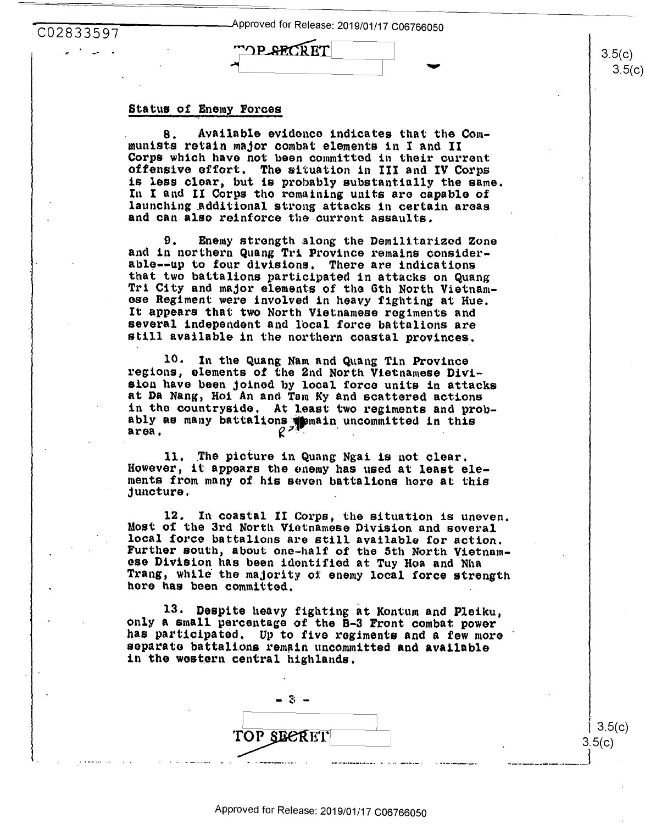| CO2833597   | -Approved for Release: 2019/01/17 C06766050 |  |
|-------------|---------------------------------------------|--|
| الماسي البر | <b>MOP SECRET</b>                           |  |
|             |                                             |  |

#### Status of Enemy Forces

Available evidence indicates that the Com-8. munists retain major combat elements in I and II Corps which have not been committed in their current offensive effort. The situation in III and IV Corps is less clear, but is probably substantially the same. In I and II Corps the remaining units are capable of launching additional strong attacks in certain areas and can also reinforce the current assaults.

Enemy strength along the Demilitarized Zone 9. and in northern Quang Tri Province remains considerable--up to four divisions. There are indications that two battalions participated in attacks on Quang Tri City and major elements of the 6th North Vietnamese Regiment were involved in heavy fighting at Hue. It appears that two North Vietnamese regiments and several independent and local force battalions are still available in the northern coastal provinces.

10. In the Quang Nam and Quang Tin Province regions, elements of the 2nd North Vietnamese Division have been joined by local force units in attacks at Da Nang, Hoi An and Tam Ky and scattered actions in the countryside. At least two regiments and probably as many battalions spemain uncommitted in this area.

11. The picture in Quang Ngai is not clear. However, it appears the enemy has used at least elements from many of his seven battalions here at this juncture.

12. In coastal II Corps, the situation is uneven. Most of the 3rd North Vietnamese Division and several local force battalions are still available for action. Further south, about one-half of the 5th North Vietnamese Division has been identified at Tuy Hoa and Nha Trang, while the majority of enemy local force strength here has been committed.

13. Despite heavy fighting at Kontum and Pleiku, only a small percentage of the B-3 Front combat power has participated. Up to five regiments and a few more separate battalions remain uncommitted and available in the western central highlands.

 $3.5(c)$  $3.5(c)$ 

 $3.5(c)$  $3.5($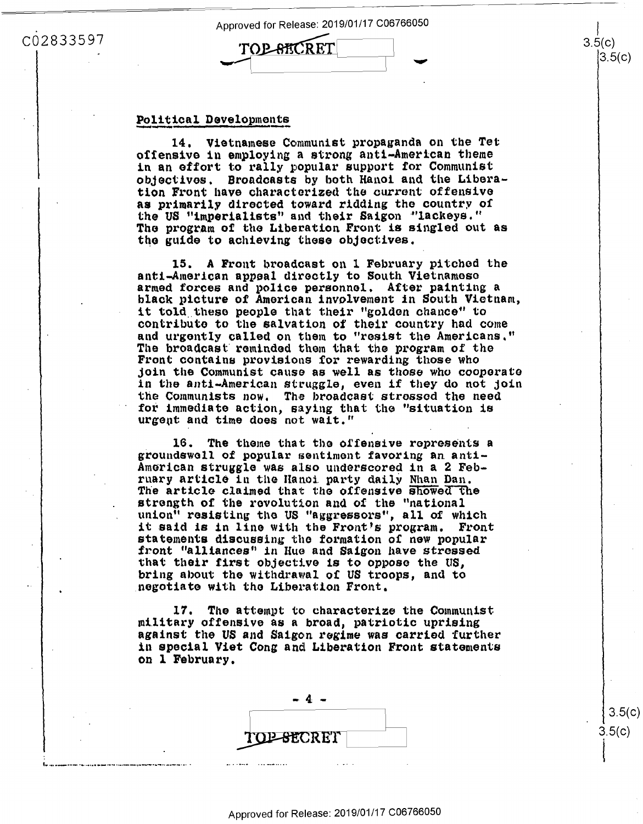Approved for Release: 2019/01/17 C06766050

TOP-BECRET

## C02833597

### Political Developments

14. Vietnamese Communist propaganda on the Tet offensive in employing a strong anti-American theme in an effort to rally popular support for Communist objectives. Broadcasts by both Hanoi and the Liberation Front have characterized the current offensive as primarily directed toward ridding the country of the US "imperialists" and their Saigon "lackeys." The program of the Liberation Front is singled out as the guide to achieving these objectives.

15. A Front broadcast on 1 February pitched the anti-American appeal directly to South Vietnamese armed forces and police personnel. After painting a black picture of American involvement in South Vietnam, it told these people that their "golden chance" to contribute to the salvation of their country had come and urgently called on them to "resist the Americans." The broadcast reminded them that the program of the Front contains provisions for rewarding those who join the Communist cause as well as those who cooperate in the anti-American struggle, even if they do not join the Communists now. The broadcast stressed the need for immediate action, saying that the "situation is urgent and time does not wait."

16. The theme that the offensive represents a groundswell of popular sentiment favoring an anti-American struggle was also underscored in a 2 February article in the Hanoi party daily Nhan Dan. The article claimed that the offensive showed the strength of the revolution and of the "national union" resisting the US "aggressors", all of which it said is in line with the Front's program. Front statements discussing the formation of new popular front "alliances" in Hue and Saigon have stressed that their first objective is to oppose the US, bring about the withdrawal of US troops, and to negotiate with the Liberation Front.

The attempt to characterize the Communist 17. military offensive as a broad, patriotic uprising against the US and Saigon regime was carried further in special Viet Cong and Liberation Front statements on 1 February.



 $3.5(c$  $3.5(c)$ 

 $3.5(c)$ 

 $3.5(c)$